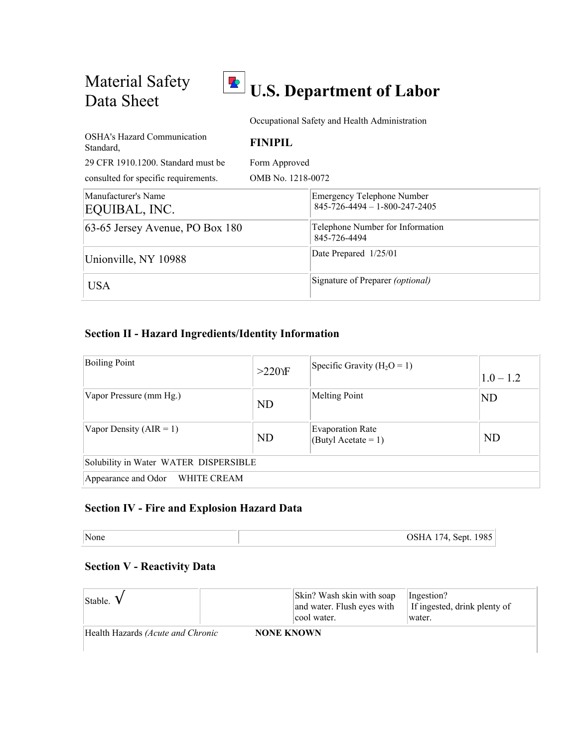Material Safety



Occupational Safety and Health Administration

| <b>OSHA's Hazard Communication</b><br>Standard. | <b>FINIPIL</b>    |                                                                                |
|-------------------------------------------------|-------------------|--------------------------------------------------------------------------------|
| 29 CFR 1910.1200. Standard must be              | Form Approved     |                                                                                |
| consulted for specific requirements.            | OMB No. 1218-0072 |                                                                                |
| Manufacturer's Name<br>EQUIBAL, INC.            |                   | <b>Emergency Telephone Number</b><br>$845 - 726 - 4494 - 1 - 800 - 247 - 2405$ |
| 63-65 Jersey Avenue, PO Box 180                 |                   | Telephone Number for Information<br>845-726-4494                               |
| Unionville, NY 10988                            |                   | Date Prepared 1/25/01                                                          |
| <b>USA</b>                                      |                   | Signature of Preparer (optional)                                               |

### **Section II - Hazard Ingredients/Identity Information**

| <b>Boiling Point</b>                  | $>220$ YF | Specific Gravity ( $H_2O = 1$ )                  | $1.0 - 1.2$ |  |
|---------------------------------------|-----------|--------------------------------------------------|-------------|--|
| Vapor Pressure (mm Hg.)               | <b>ND</b> | <b>Melting Point</b>                             | <b>ND</b>   |  |
| Vapor Density $(AIR = 1)$             | <b>ND</b> | <b>Evaporation Rate</b><br>$(ButyI Acctate = 1)$ | ND          |  |
| Solubility in Water WATER DISPERSIBLE |           |                                                  |             |  |
| Appearance and Odor WHITE CREAM       |           |                                                  |             |  |

# **Section IV - Fire and Explosion Hazard Data**

| None | OSHA 174, Sept. 1985 |
|------|----------------------|
|------|----------------------|

### **Section V - Reactivity Data**

| Stable.                           |                   | Skin? Wash skin with soap<br>and water. Flush eyes with<br>cool water. | Ingestion?<br>If ingested, drink plenty of<br>water. |
|-----------------------------------|-------------------|------------------------------------------------------------------------|------------------------------------------------------|
| Health Hazards (Acute and Chronic | <b>NONE KNOWN</b> |                                                                        |                                                      |